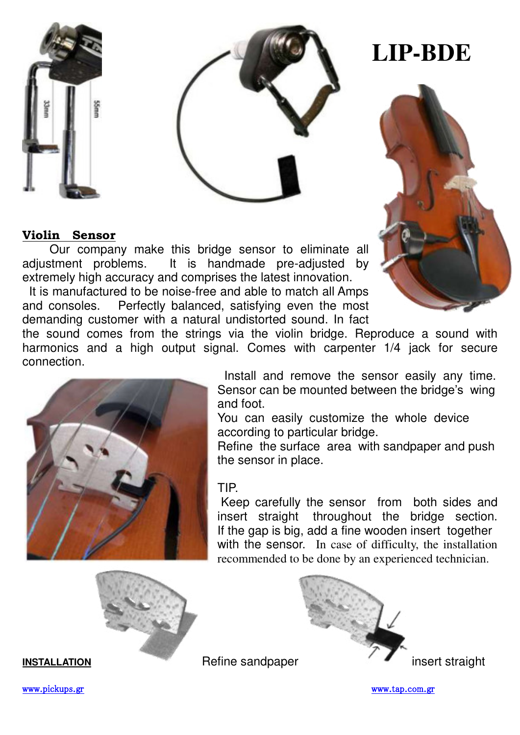



# **LIP-BDE**



## **Violin Sensor**

Our company make this bridge sensor to eliminate all adjustment problems. It is handmade pre-adjusted by extremely high accuracy and comprises the latest innovation.

 It is manufactured to be noise-free and able to match all Amps and consoles. Perfectly balanced, satisfying even the most demanding customer with a natural undistorted sound. In fact

the sound comes from the strings via the violin bridge. Reproduce a sound with harmonics and a high output signal. Comes with carpenter 1/4 jack for secure connection.



 Install and remove the sensor easily any time. Sensor can be mounted between the bridge's wing and foot.

You can easily customize the whole device according to particular bridge.

Refine the surface area with sandpaper and push the sensor in place.

#### TIP.

 Keep carefully the sensor from both sides and insert straight throughout the bridge section. If the gap is big, add a fine wooden insert together with the sensor. In case of difficulty, the installation recommended to be done by an experienced technician.





[www.pickups.gr](http://www.pickups.gr/) [www.tap.com.gr](http://www.tap.com.gr/) www.tap.com.gr